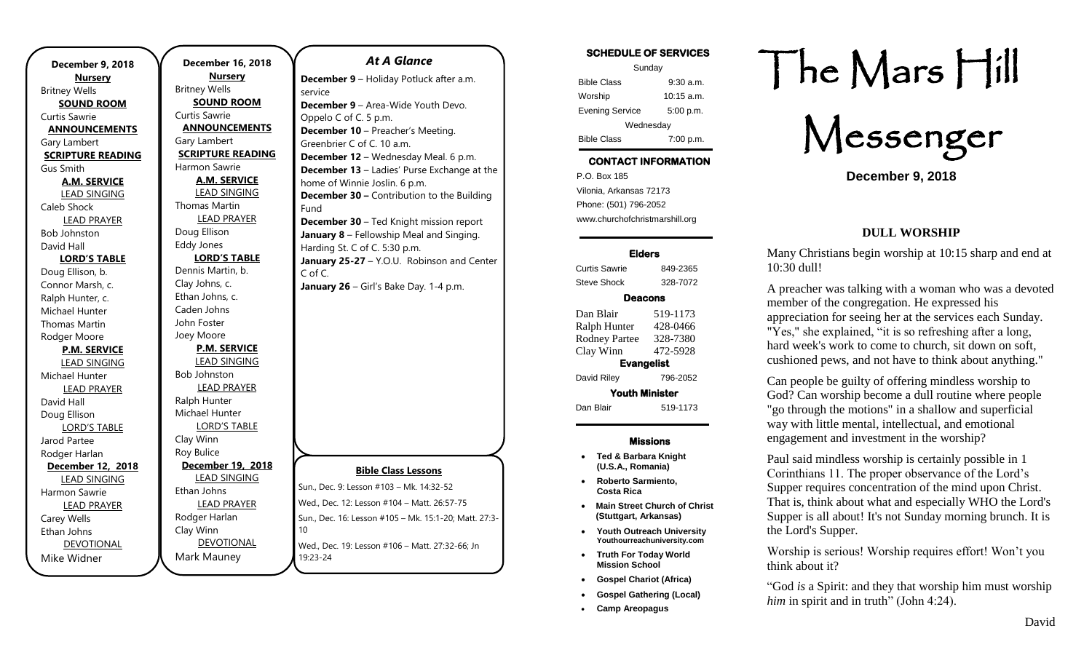| December 9, 2018         | December 16          |
|--------------------------|----------------------|
| <b>Nursery</b>           | <b>Nursery</b>       |
| <b>Britney Wells</b>     | <b>Britney Wells</b> |
| <b>SOUND ROOM</b>        | <b>SOUND RC</b>      |
| Curtis Sawrie            | Curtis Sawrie        |
| <b>ANNOUNCEMENTS</b>     | <b>ANNOUNCEM</b>     |
| Gary Lambert             | Gary Lambert         |
| <b>SCRIPTURE READING</b> | <b>SCRIPTURE RE</b>  |
| Gus Smith                | Harmon Sawrie        |
| <b>A.M. SERVICE</b>      | A.M. SERV            |
| <b>LEAD SINGING</b>      | <b>LEAD SING</b>     |
| Caleb Shock              | Thomas Martin        |
| <b>LEAD PRAYER</b>       | <b>LEAD PRA</b>      |
| Bob Johnston             | Doug Ellison         |
| David Hall               | <b>Eddy Jones</b>    |
| <b>LORD'S TABLE</b>      | <b>LORD'S TA</b>     |
| Doug Ellison, b.         | Dennis Martin, I     |
| Connor Marsh, c.         | Clay Johns, c.       |
| Ralph Hunter, c.         | Ethan Johns, c.      |
| Michael Hunter           | Caden Johns          |
| Thomas Martin            | John Foster          |
| Rodger Moore             | Joey Moore           |
| <b>P.M. SERVICE</b>      | P.M. SERV            |
| <b>LEAD SINGING</b>      | <b>LEAD SING</b>     |
| Michael Hunter           | <b>Bob Johnston</b>  |
| <b>LEAD PRAYER</b>       | <b>LEAD PRA</b>      |
| David Hall               | Ralph Hunter         |
| Doug Ellison             | Michael Hunter       |
| <b>LORD'S TABLE</b>      | <b>LORD'S TA</b>     |
| Jarod Partee             | Clay Winn            |
| Rodger Harlan            | Roy Bulice           |
| December 12, 2018        | December 19          |
| <b>LEAD SINGING</b>      | <b>LEAD SING</b>     |
| Harmon Sawrie            | Ethan Johns          |
| <b>LEAD PRAYER</b>       | <b>LEAD PRA</b>      |
| Carey Wells              | Rodger Harlan        |
| Ethan Johns              | Clay Winn            |
| <b>DEVOTIONAL</b>        | <b>DEVOTION</b>      |
| Mike Widner              | Mark Mauney          |
|                          |                      |

| <b>December 16, 2018</b> | <b>At A Glance</b>                                 |
|--------------------------|----------------------------------------------------|
| <b>Nursery</b>           |                                                    |
| <b>Britney Wells</b>     | December 9 - Holiday Potluck after a.m.<br>service |
| <b>SOUND ROOM</b>        | <b>December 9</b> – Area-Wide Youth Devo.          |
| Curtis Sawrie            | Oppelo C of C. 5 p.m.                              |
| <b>ANNOUNCEMENTS</b>     | December 10 - Preacher's Meeting.                  |
| Gary Lambert             | Greenbrier C of C. 10 a.m.                         |
| <b>SCRIPTURE READING</b> | <b>December 12</b> – Wednesday Meal. 6 p.m.        |
| Harmon Sawrie            | December 13 - Ladies' Purse Exchange a             |
| <b>A.M. SERVICE</b>      | home of Winnie Joslin. 6 p.m.                      |
| <b>LEAD SINGING</b>      | <b>December 30 - Contribution to the Build</b>     |
| Thomas Martin            | Fund                                               |
| <b>LEAD PRAYER</b>       | <b>December 30</b> - Ted Knight mission repor      |
| Doug Ellison             | January 8 - Fellowship Meal and Singing            |
| <b>Eddy Jones</b>        | Harding St. C of C. 5:30 p.m.                      |
| <b>LORD'S TABLE</b>      | January 25-27 - Y.O.U. Robinson and Ce             |
| Dennis Martin, b.        | C of C.                                            |
| Clay Johns, c.           | <b>January 26</b> – Girl's Bake Day. 1-4 p.m.      |
| Ethan Johns, c.          |                                                    |
| Caden Johns              |                                                    |
| John Foster              |                                                    |
| Joey Moore               |                                                    |
| <b>P.M. SERVICE</b>      |                                                    |
| <b>LEAD SINGING</b>      |                                                    |
| <b>Bob Johnston</b>      |                                                    |
| <b>LEAD PRAYER</b>       |                                                    |
| Ralph Hunter             |                                                    |
| Michael Hunter           |                                                    |
| <b>LORD'S TABLE</b>      |                                                    |
| Clay Winn                |                                                    |
| Roy Bulice               |                                                    |
| December 19, 2018        | <b>Bible Class Lessons</b>                         |
| <b>LEAD SINGING</b>      | Sun., Dec. 9: Lesson #103 - Mk. 14:32-52           |
| Ethan Johns              |                                                    |
| <b>LEAD PRAYER</b>       | Wed., Dec. 12: Lesson #104 - Matt. 26:57-75        |
| Rodger Harlan            | Sun., Dec. 16: Lesson #105 - Mk. 15:1-20; Matt.    |
| Clay Winn                | 10                                                 |
| DEVOTIONAL               | Wed., Dec. 19: Lesson #106 - Matt. 27:32-66: Jr    |

**13** – Ladies' Purse Exchange at the innie Joslin. 6 p.m. **30 –** Contribution to the Building **30** – Ted Knight mission report **January 8** – Fellowship Meal and Singing. C of C. 5:30 p.m. **J-27** – Y.O.U. Robinson and Center **January 26** – Girl's Bake Day. 1-4 p.m.

#### **Bible Class Lessons**

| Sun., Dec. 9: Lesson #103 - Mk. 14:32-52                        |
|-----------------------------------------------------------------|
| Wed., Dec. 12: Lesson #104 - Matt. 26:57-75                     |
| Sun., Dec. 16: Lesson #105 - Mk. 15:1-20; Matt. 27:3-<br>10     |
| Wed., Dec. 19: Lesson #106 - Matt. 27:32-66; Jn<br>$19.23 - 24$ |

## **SCHEDULE OF SERVICES**  Sunday Bible Class 9:30 a.m. Worship 10:15 a.m.

Evening Service 5:00 p.m. **Wednesdav** Bible Class 7:00 p.m.

# **CONTACT INFORMATION**

. .o. Box 166<br>Vilonia, Arkansas 72173 P.O. Box 185 Phone: (501) 796-2052 www.churchofchristmarshill.org

### **Elders**

Curtis Sawrie 849-2365 Steve Shock 328-7072

## **Deacons**

Dan Blair 519-1173 Ralph Hunter 428-0466 Rodney Partee 328-7380 Clay Winn 472-5928 **Evangelist**  David Riley 796-2052 **Youth Minister**  Dan Blair 519-1173

### **Missions**

- **Ted & Barbara Knight (U.S.A., Romania)**
- **Roberto Sarmiento, Costa Rica**
- **Main Street Church of Christ (Stuttgart, Arkansas)**
- **Youth Outreach University Youthourreachuniversity.com**
- **Truth For Today World Mission School**
- **Gospel Chariot (Africa)**
- **Gospel Gathering (Local)**
- **Camp Areopagus**

# The Mars Hill

Messenger

**December 9, 2018**

## **DULL WORSHIP**

Many Christians begin worship at 10:15 sharp and end at 10:30 dull!

A preacher was talking with a woman who was a devoted member of the congregation. He expressed his appreciation for seeing her at the services each Sunday. "Yes," she explained, "it is so refreshing after a long, hard week's work to come to church, sit down on soft, cushioned pews, and not have to think about anything."

Can people be guilty of offering mindless worship to God? Can worship become a dull routine where people "go through the motions" in a shallow and superficial way with little mental, intellectual, and emotional engagement and investment in the worship?

Paul said mindless worship is certainly possible in 1 Corinthians 11. The proper observance of the Lord's Supper requires concentration of the mind upon Christ. That is, think about what and especially WHO the Lord's Supper is all about! It's not Sunday morning brunch. It is the Lord's Supper.

Worship is serious! Worship requires effort! Won't you think about it?

"God *is* a Spirit: and they that worship him must worship *him* in spirit and in truth" (John 4:24).